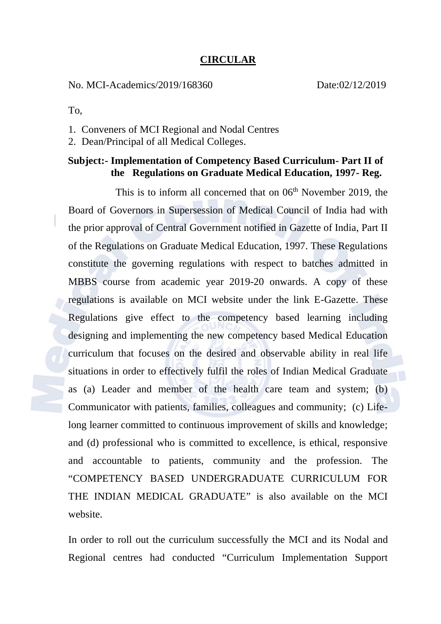## **CIRCULAR**

No. MCI-Academics/2019/168360 Date:02/12/2019

To,

- 1. Conveners of MCI Regional and Nodal Centres
- 2. Dean/Principal of all Medical Colleges.

## **Subject:- Implementation of Competency Based Curriculum- Part II of the Regulations on Graduate Medical Education, 1997- Reg.**

This is to inform all concerned that on  $06<sup>th</sup>$  November 2019, the Board of Governors in Supersession of Medical Council of India had with the prior approval of Central Government notified in Gazette of India, Part II of the Regulations on Graduate Medical Education, 1997. These Regulations constitute the governing regulations with respect to batches admitted in MBBS course from academic year 2019-20 onwards. A copy of these regulations is available on MCI website under the link E-Gazette. These Regulations give effect to the competency based learning including designing and implementing the new competency based Medical Education curriculum that focuses on the desired and observable ability in real life situations in order to effectively fulfil the roles of Indian Medical Graduate as (a) Leader and member of the health care team and system; (b) Communicator with patients, families, colleagues and community; (c) Lifelong learner committed to continuous improvement of skills and knowledge; and (d) professional who is committed to excellence, is ethical, responsive and accountable to patients, community and the profession. The "COMPETENCY BASED UNDERGRADUATE CURRICULUM FOR THE INDIAN MEDICAL GRADUATE" is also available on the MCI website.

In order to roll out the curriculum successfully the MCI and its Nodal and Regional centres had conducted "Curriculum Implementation Support